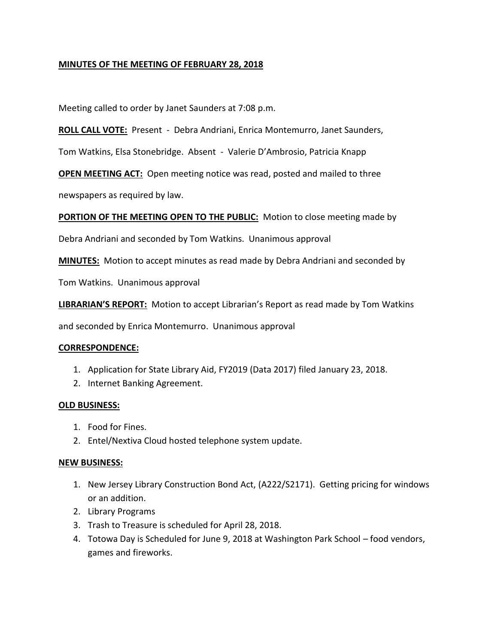# **MINUTES OF THE MEETING OF FEBRUARY 28, 2018**

Meeting called to order by Janet Saunders at 7:08 p.m.

**ROLL CALL VOTE:** Present - Debra Andriani, Enrica Montemurro, Janet Saunders,

Tom Watkins, Elsa Stonebridge. Absent - Valerie D'Ambrosio, Patricia Knapp

**OPEN MEETING ACT:** Open meeting notice was read, posted and mailed to three

newspapers as required by law.

**PORTION OF THE MEETING OPEN TO THE PUBLIC:** Motion to close meeting made by

Debra Andriani and seconded by Tom Watkins. Unanimous approval

**MINUTES:** Motion to accept minutes as read made by Debra Andriani and seconded by

Tom Watkins. Unanimous approval

**LIBRARIAN'S REPORT:** Motion to accept Librarian's Report as read made by Tom Watkins

and seconded by Enrica Montemurro. Unanimous approval

### **CORRESPONDENCE:**

- 1. Application for State Library Aid, FY2019 (Data 2017) filed January 23, 2018.
- 2. Internet Banking Agreement.

### **OLD BUSINESS:**

- 1. Food for Fines.
- 2. Entel/Nextiva Cloud hosted telephone system update.

### **NEW BUSINESS:**

- 1. New Jersey Library Construction Bond Act, (A222/S2171). Getting pricing for windows or an addition.
- 2. Library Programs
- 3. Trash to Treasure is scheduled for April 28, 2018.
- 4. Totowa Day is Scheduled for June 9, 2018 at Washington Park School food vendors, games and fireworks.